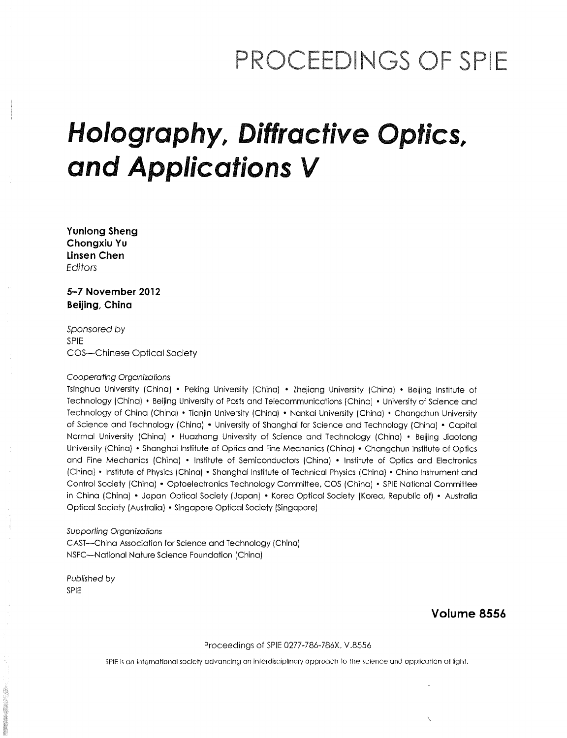## PROCEEDINGS OF SPIE

# Holography, Diffractive Optics, and Applications V

Yunlong Sheng Chongxiu Yu Linsen Chen **Editors** 

5-7 November 2012 Beijing, China

Sponsored by SPIE COS—Chinese Optical Society

#### Cooperating Organizations

Isinghua University (China) • Peking University (China) • Zhejiang University (China) • Beijing Institute of Technology (China) • Beijing University of Posts and Telecommunications (China) • University of Science and Technology of China (China) • Tianjin University (China) • Nankai University (China) • Changchun University of Science and Technology (China) • University of Shanghai for Science and Technology (China) • Capital Normal University (China) • Huazhong University of Science and Technology (China) • Beijing Jiaotong University (China) • Shanghai Institute of Optics and Fine Mechanics (China) • Changchun Institute of Optics and Fine Mechanics (China) • Institute of Semiconductors (China) • Institute of Optics and Electronics (China) • Institute of Physics (China) • Shanghai Institute of Technical Physics (China) • China Instrument and Control Society (China) • Optoelectronics Technology Committee, COS (China) • SPIE National Committee in China (China) • Japan Optical Society (Japan) • Korea Optical Society (Korea, Republic of) • Australia Optical Society (Australia) • Singapore Optical Society (Singapore)

#### Supporting Organizations

CAST—China Association for Science and Technology (China) NSFC—National Nature Science Foundation (China)

Published by SPIE

#### Volume 8556

#### Proceedings of SPIE 0277-786-786X, V.8556

SPIE is an international society advancing an interdisciplinary approach to the science and application of light.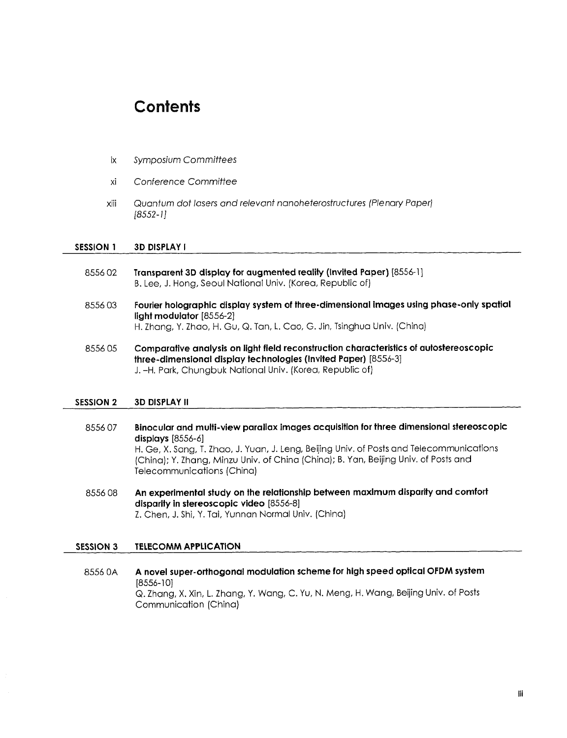### **Contents**

- Symposium Committees ix
- xi Conference Committee
- XIII Quantum dot lasers and relevant nanoheterostructures (Plenary Paper] [8552-1]

#### SESSION 1 3D DISPLAY I

- 8556 02 Transparent 3D display for augmented reality (Invited Paper) [8556-1] B. Lee, J. Hong, Seoul National Univ. (Korea, Republic of)
- 8556 03 Fourier holographic display system of three-dimensional images using phase-only spatial light modulator [8556-2] H. Zhang, Y. Zhao, H. Gu, Q. Tan, L. Cao, G. Jin, Tsinghua Univ. (China)
- 8556 05 Comparative analysis on light field reconstruction characteristics of autostereoscopic three-dimensional display technologies (Invited Paper) [8556-3] J. -H. Park, Chungbuk National Univ. (Korea, Republic of)

#### SESSION 2 3D DISPLAY II

- 8556 07 Binocular and multi-view parallax images acquisition for three dimensional stereoscopic displays [8556-6] H. Ge, X. Sang, T. Zhao, J. Yuan, J. Leng, Beijing Univ. of Posts and Telecommunications (China); Y. Zhang, Minzu Univ. of China (China); B. Yan, Beijing Univ. of Posts and Telecommunications (China)
- 8556 08 An experimental study on the relationship between maximum disparity and comfort disparity in stereoscopic video [8556-8] Z. Chen, J. Shi, Y. Tai, Yunnan Normal Univ. (China)

#### SESSION <sup>3</sup> TELECOMM APPLICATION

<sup>8556</sup> OA A novel super-orthogonal modulation scheme for high speed optical OFDM system [8556-10] Q. Zhang, X. Xin, L. Zhang, Y. Wang, C. Yu, N. Meng, H. Wang, Beijing Univ. of Posts Communication (China)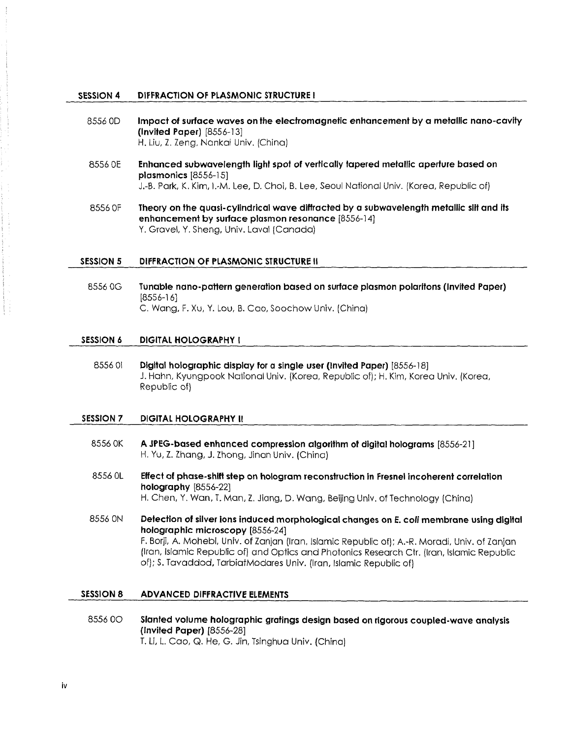#### SESSION 4 DIFFRACTION OF PLASMONIC STRUCTURE <sup>I</sup>

- 8556 OD Impact of surface waves on the electromagnetic enhancement by a metallic nano-cavity (Invited Paper) [8556-13] H. Liu, Z. Zeng, Nankai Univ. (China)
- 8556 OE Enhanced subwavelength light spot of vertically tapered metallic aperture based on plasmonics [8556-15] J.-B. Park, K. Kim, l.-M. Lee, D. Choi, B. Lee, Seoul National Univ. (Korea, Republic of)
- 8556 OF Theory on the quasi-cylindrical wave diffracted by a subwavelength metallic slit and its enhancement by surface plasmon resonance [8556-14] Y. Gravel, Y. Sheng, Univ. Laval (Canada)

#### SESSION 5 DIFFRACTION OF PLASMONIC STRUCTURE II

8556 OG Tunable nano-pattern generation based on surface plasmon polaritons (Invited Paper) [8556-16] C. Wang, F. Xu, Y. Lou, B. Cao, Soochow Univ. (China)

#### SESSION <sup>6</sup> DIGITAL HOLOGRAPHY <sup>I</sup>

8556 01 Digital holographic display for a single user (Invited Paper) [8556-18] J. Hahn, Kyungpook National Univ. (Korea, Republic of); H. Kim, Korea Univ. (Korea, Republic of)

#### SESSION 7 DIGITAL HOLOGRAPHY II

- 8556 OK A JPEG-based enhanced compression algorithm of digital holograms [8556-21] H. Yu, Z. Zhang, J. Zhong, Jinan Univ. (China)
- 8556 0L Effect of phase-shift step on hologram reconstruction in Fresnel incoherent correlation holography [8556-22] H. Chen, Y. Wan, T. Man, Z. Jiang, D. Wang, Beijing Univ. of Technology (China)

8556 ON Detection of silver ions induced morphological changes on E. coli membrane using digital holographic microscopy [8556-24] F. Borji, A. Mohebi, Univ. of Zanjan (Iran, Islamic Republic of); A.-R. Moradi, Univ. of Zanjan (Iran, Islamic Republic of) and Optics and Photonics Research Ctr. (Iran, Islamic Republic of); S. Tavaddod, TarbiatModares Univ. (Iran, Islamic Republic of)

#### SESSION 8 ADVANCED DIFFRACTIVE ELEMENTS

<sup>8556</sup> 0O Slanted volume holographic gratings design based on rigorous coupled-wave analysis (Invited Paper) [8556-28] T. Li, L. Cao, Q. He, G. Jin, Tsinghua Univ. (China)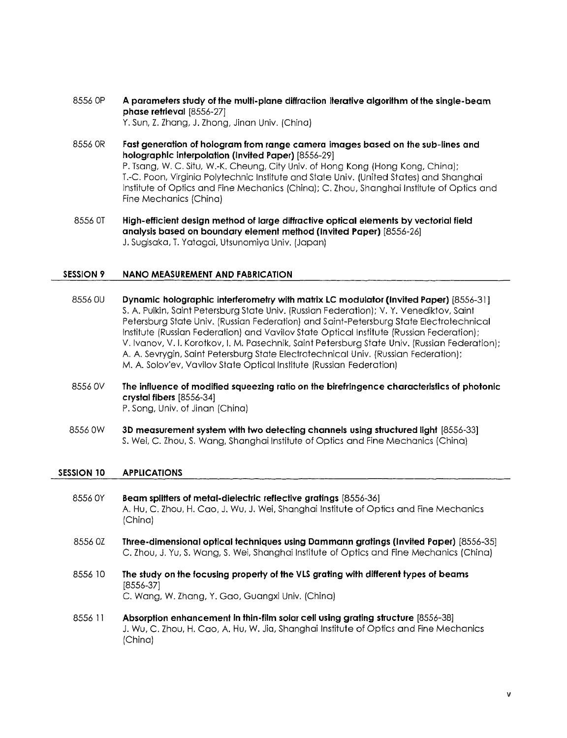- 8556 OP A parameters study of the multi-plane diffraction iterative algorithm of the single-beam phase retrieval [8556-27] Y. Sun, Z. Zhang, J. Zhong, Jinan Univ. (China)
- 8556 OR Fast generation of hologram from range camera images based on the sub-lines and holographic interpolation (Invited Paper) [8556-29] P. Tsang, W. C. Situ, W.-K. Cheung, City Univ. of Hong Kong (Hong Kong, China); T.-C. Poon, Virginia Polytechnic Institute and State Univ. (United States) and Shanghai Institute of Optics and Fine Mechanics (China); C. Zhou, Shanghai Institute of Optics and Fine Mechanics (China)
- 8556 OT High-efficient design method of large diffractive optical elements by vectorial field analysis based on boundary element method (Invited Paper) [8556-26] J. Sugisaka, T. Yatagai, Utsunomiya Univ. (Japan)

#### SESSION <sup>9</sup> NANO MEASUREMENT AND FABRICATION

- 8556 OU Dynamic holographic interferometry with matrix LC modulator (Invited Paper) [8556-31] S. A. Pulkin, Saint Petersburg State Univ. (Russian Federation); V. Y. Venediktov, Saint Petersburg State Univ. (Russian Federation) and Saint-Petersburg State Electrotechnical Institute (Russian Federation) and Vavilov State Optical Institute (Russian Federation); V. Ivanov, V. I. Korotkov, I. M. Pasechnik, Saint Petersburg State Univ. (Russian Federation); A. A. Sevrygin, Saint Petersburg State Electrotechnical Univ. (Russian Federation); M. A. Solov'ev, Vavilov State Optical Institute (Russian Federation)
- 8556 OV The influence of modified squeezing ratio on the birefringence characteristics of photonic crystal fibers [8556-34] P. Song, Univ. of Jinan (China)
- <sup>8556</sup> OW 3D measurement system with two detecting channels using structured light [8556-33] S. Wei, C. Zhou, S. Wang, Shanghai Institute of Optics and Fine Mechanics (China)

#### SESSION 10 APPLICATIONS

- 8556 0Y Beam splitters of metal-dielectric reflective gratings [8556-36] A. Hu, C. Zhou, H. Cao, J. Wu, J. Wei, Shanghai Institute of Optics and Fine Mechanics (China)
- <sup>8556</sup> 0Z Three-dimensional optical techniques using Dammann gratings (Invited Paper) [8556-35] C. Zhou, J. Yu, S. Wang, S. Wei, Shanghai Institute of Optics and Fine Mechanics (China)
- 8556 <sup>10</sup> The study on the focusing property of the VLS grating with different types of beams [8556-37] C. Wang, W. Zhang, Y. Gao, Guangxi Univ. (China)
- 8556 <sup>11</sup> Absorption enhancement in thin-film solar cell using grating structure [8556-38] J. Wu, C. Zhou, H. Cao, A. Hu, W. Jia, Shanghai Institute of Optics and Fine Mechanics (China)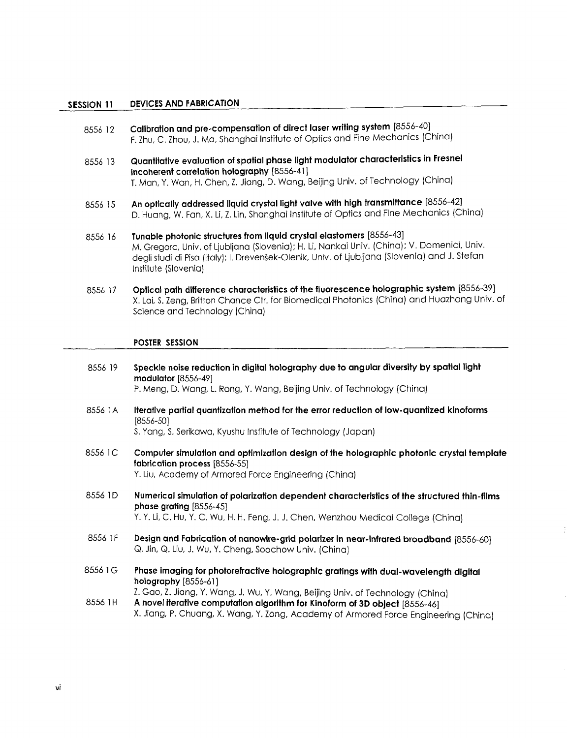#### SESSION <sup>11</sup> DEVICES AND FABRICATION

- 8556 12 Calibration and pre-compensation of direct laser writing system [8556-40] F. Zhu, C. Zhou, J. Ma, Shanghai Institute of Optics and Fine Mechanics (China)
- <sup>8556</sup> <sup>13</sup> Quantitative evaluation of spatial phase light modulator characteristics in Fresnel incoherent correlation holography [8556-41] T. Man, Y. Wan, H. Chen, Z. Jiang, D. Wang, Beijing Univ. of Technology (China)
- 8556 15 An optically addressed liquid crystal light valve with high transmittance [8556-42] D. Huang, W. Fan, X. Li, Z. Lin, Shanghai Institute of Optics and Fine Mechanics (China)
- 8556 <sup>16</sup> Tunable photonic structures from liquid crystal elastomers [8556-43] M. Gregorc, Univ. of Ljubljana (Slovenia); H. Li, Nankai Univ. (China); V. Domenici, Univ. degli studi di Pisa (Italy); I. Drevensek-Olenik, Univ. of Ljubljana (Slovenia) and J. Stefan Institute (Slovenia)
- 8556 <sup>17</sup> Optical path difference characteristics of the fluorescence holographic system [8556-39] X. Lai, S. Zeng, Britton Chance Ctr. for Biomedical Photonics (China) and Huazhong Univ. of Science and Technology (China)

#### POSTER SESSION

- 8556 <sup>19</sup> Speckle noise reduction in digital holography due to angular diversity by spatial light modulator [8556-49] P. Meng, D. Wang, L. Rong, Y. Wang, Beijing Univ. of Technology (China)
- 8556 1A Iterative partial quantization method for the error reduction of low-quantized kinoforms [8556-50]

S. Yang, S. Serikawa, Kyushu Institute of Technology (Japan)

- 8556 1C Computer simulation and optimization design of the holographic photonic crystal template fabrication process [8556-55] Y. Liu, Academy of Armored Force Engineering (China)
- 8556 1D Numerical simulation of polarization dependent characteristics of the structured thin-films phase grating [8556-45] Y. Y. Li, C. Hu, Y. C. Wu, H. H. Feng, J. J. Chen, Wenzhou Medical College (China)
- 8556 1F Design and Fabrication of nanowire-grid polarizer in near-infrared broadband [8556-60]
- Q. Jin, Q. Liu, J. Wu, Y. Cheng, Soochow Univ. (China)
- 8556 1G Phase imaging for photorefractive holographic gratings with dual-wavelength digital holography [8556-61]

Z. Gao, Z. Jiang, Y. Wang, J. Wu, Y. Wang, Beijing Univ. of Technology (China)<br>8556 1H A novel iterative computation algorithm for Kinoform of 3D object [8556-46]

X. Jiang, P. Chuang, X. Wang, Y. Zong, Academy of Armored Force Engineering (China)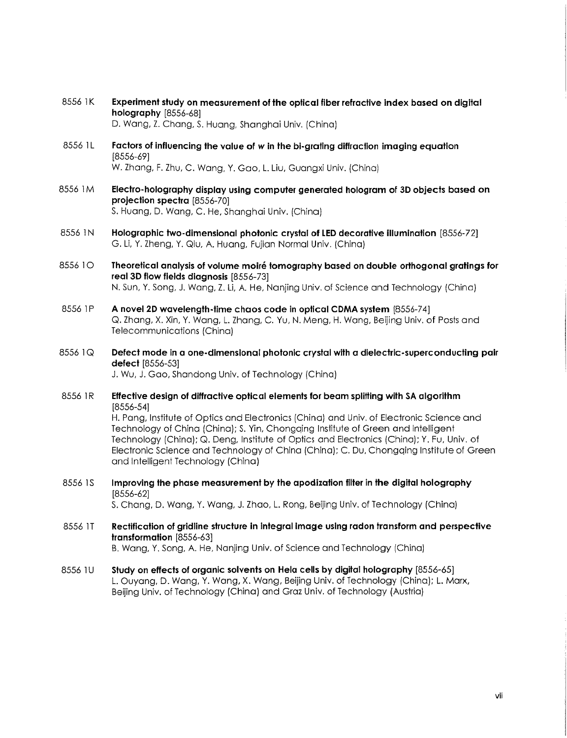- 8556 1K Experiment study on measurement of the optical fiber refractive index based on digital holography [8556-68] D. Wang, Z. Chang, S. Huang, Shanghai Univ. (China)
- <sup>8556</sup> 1L Factors of influencing the value of w in the bi-grating diffraction imaging equation [8556-69] W. Zhang, F. Zhu, C. Wang, Y. Gao, L. Liu, Guangxi Univ. (China)
- 8556 1M Electro-holography display using computer generated hologram of 3D objects based on projection spectra [8556-70] S. Huang, D. Wang, C. He, Shanghai Univ. (China)
- 8556 1N Holographic two-dimensional photonic crystal of LED decorative illumination [8556-72] G. Li, Y. Zheng, Y. Qiu, A. Huang, Fujian Normal Univ. (China)
- 8556 10 Theoretical analysis of volume moiré tomography based on double orthogonal gratings for real 3D flow fields diagnosis [8556-73] N. Sun, Y. Song, J. Wang, Z. Li, A. He, Nanjing Univ. of Science and Technology (China)
- 8556 1P A novel 2D wavelength-time chaos code in optical CDMA system [8556-74] Q. Zhang, X. Xin, Y. Wang, L. Zhang, C. Yu, N. Meng, H. Wang, Beijing Univ. of Posts and Telecommunications (China)
- 8556 1Q Defect mode in a one-dimensional photonic crystal with a dielectric-superconducting pair defect [8556-53] J. Wu, J. Gao, Shandong Univ. of Technology (China)
- 8556 1R Effective design of diffractive optical elements for beam splitting with SA algorithm [8556-54] H. Pang, Institute of Optics and Electronics (China) and Univ. of Electronic Science and Technology of China (China); S. Yin, Chongqing Institute of Green and Intelligent Technology (China); Q. Deng, Institute of Optics and Electronics (China); Y. Fu, Univ. of Electronic Science and Technology of China (China); C. Du, Chongqing Institute of Green and Intelligent Technology (China)
- 8556 1S Improving the phase measurement by the apodization filter in the digital holography [8556-62] S. Chang, D. Wang, Y. Wang, J. Zhao, L. Rong, Beijing Univ. of Technology (China)
- 8556 IT Rectification of gridline structure in integral image using radon transform and perspective transformation [8556-63] B. Wang, Y. Song, A. He, Nanjing Univ. of Science and Technology (China)
- 8556 1U Study on effects of organic solvents on Hela cells by digital holography [8556-65] L. Ouyang, D. Wang, Y. Wang, X. Wang, Beijing Univ. of Technology (China); L. Marx, Beijing Univ. of Technology (China) and Graz Univ. of Technology (Austria)